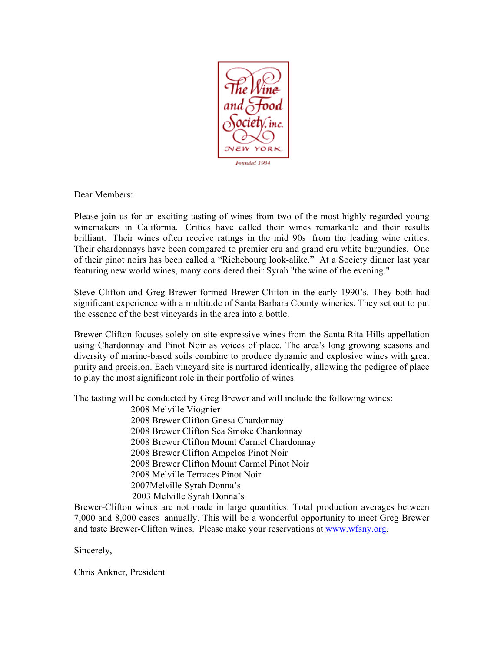

Dear Members:

Please join us for an exciting tasting of wines from two of the most highly regarded young winemakers in California. Critics have called their wines remarkable and their results brilliant. Their wines often receive ratings in the mid 90s from the leading wine critics. Their chardonnays have been compared to premier cru and grand cru white burgundies. One of their pinot noirs has been called a "Richebourg look-alike." At a Society dinner last year featuring new world wines, many considered their Syrah "the wine of the evening."

Steve Clifton and Greg Brewer formed Brewer-Clifton in the early 1990's. They both had significant experience with a multitude of Santa Barbara County wineries. They set out to put the essence of the best vineyards in the area into a bottle.

Brewer-Clifton focuses solely on site-expressive wines from the Santa Rita Hills appellation using Chardonnay and Pinot Noir as voices of place. The area's long growing seasons and diversity of marine-based soils combine to produce dynamic and explosive wines with great purity and precision. Each vineyard site is nurtured identically, allowing the pedigree of place to play the most significant role in their portfolio of wines.

The tasting will be conducted by Greg Brewer and will include the following wines:

 2008 Melville Viognier 2008 Brewer Clifton Gnesa Chardonnay 2008 Brewer Clifton Sea Smoke Chardonnay 2008 Brewer Clifton Mount Carmel Chardonnay 2008 Brewer Clifton Ampelos Pinot Noir 2008 Brewer Clifton Mount Carmel Pinot Noir 2008 Melville Terraces Pinot Noir 2007Melville Syrah Donna's 2003 Melville Syrah Donna's

Brewer-Clifton wines are not made in large quantities. Total production averages between 7,000 and 8,000 cases annually. This will be a wonderful opportunity to meet Greg Brewer and taste Brewer-Clifton wines. Please make your reservations at www.wfsny.org.

Sincerely,

Chris Ankner, President